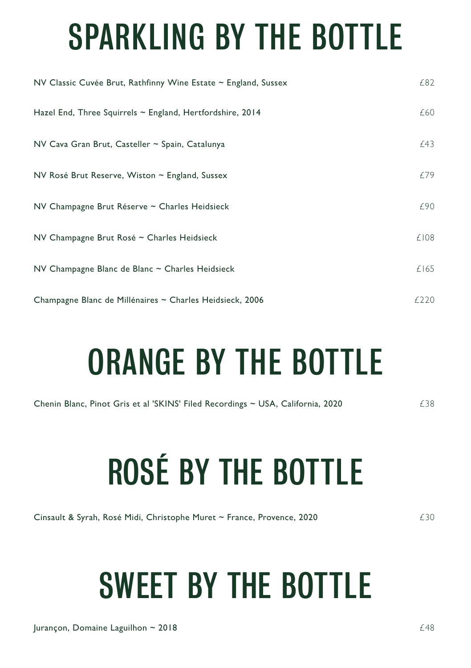## SPARKLING BY THE BOTTLE

| NV Classic Cuvée Brut, Rathfinny Wine Estate $\sim$ England, Sussex | £82  |
|---------------------------------------------------------------------|------|
| Hazel End, Three Squirrels $\sim$ England, Hertfordshire, 2014      | £60  |
| NV Cava Gran Brut, Casteller ~ Spain, Catalunya                     | £43  |
| NV Rosé Brut Reserve, Wiston ~ England, Sussex                      | £79  |
| NV Champagne Brut Réserve ~ Charles Heidsieck                       | £90  |
| NV Champagne Brut Rosé ~ Charles Heidsieck                          | £108 |
| NV Champagne Blanc de Blanc ~ Charles Heidsieck                     | £165 |
| Champagne Blanc de Millénaires ~ Charles Heidsieck, 2006            | £220 |

## ORANGE BY THE BOTTLE

Chenin Blanc, Pinot Gris et al 'SKINS' Filed Recordings ~ USA, California, 2020  $\epsilon$  38

# ROSÉ BY THE BOTTLE

Cinsault & Syrah, Rosé Midi, Christophe Muret ~ France, Provence, 2020 **1998** E30

## SWEET BY THE BOTTLE

 $\mu$  Jurançon, Domaine Laguilhon ~ 2018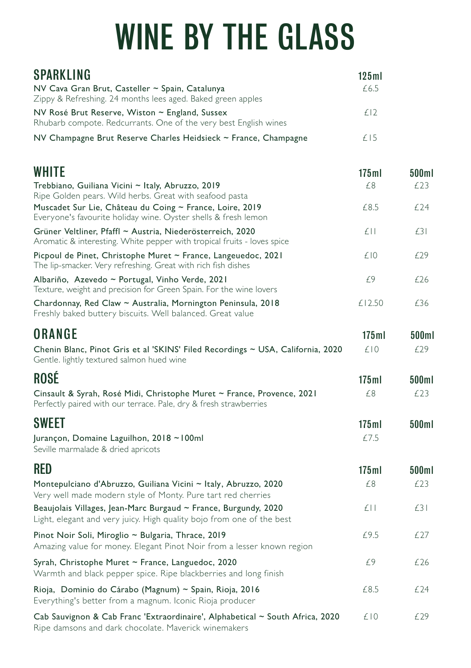## WINE BY THE GLASS

| SPARKLING                                                                                                                                   | 125ml    |       |
|---------------------------------------------------------------------------------------------------------------------------------------------|----------|-------|
| NV Cava Gran Brut, Casteller ~ Spain, Catalunya<br>Zippy & Refreshing. 24 months lees aged. Baked green apples                              | £6.5     |       |
| NV Rosé Brut Reserve, Wiston ~ England, Sussex<br>Rhubarb compote. Redcurrants. One of the very best English wines                          | £12      |       |
| NV Champagne Brut Reserve Charles Heidsieck ~ France, Champagne                                                                             | £15      |       |
| WHITE                                                                                                                                       | 175ml    | 500ml |
| Trebbiano, Guiliana Vicini ~ Italy, Abruzzo, 2019<br>Ripe Golden pears. Wild herbs. Great with seafood pasta                                | £8       | £23   |
| Muscadet Sur Lie, Château du Coing ~ France, Loire, 2019<br>Everyone's favourite holiday wine. Oyster shells & fresh lemon                  | £8.5     | £24   |
| Grüner Veltliner, Pfaffl ~ Austria, Niederösterreich, 2020<br>Aromatic & interesting. White pepper with tropical fruits - loves spice       | $f$      | £31   |
| Picpoul de Pinet, Christophe Muret ~ France, Langeuedoc, 2021<br>The lip-smacker. Very refreshing. Great with rich fish dishes              | £10      | £29   |
| Albariño, Azevedo ~ Portugal, Vinho Verde, 2021<br>Texture, weight and precision for Green Spain. For the wine lovers                       | £9       | £26   |
| Chardonnay, Red Claw ~ Australia, Mornington Peninsula, 2018<br>Freshly baked buttery biscuits. Well balanced. Great value                  | £12.50   | £36   |
| ORANGE                                                                                                                                      | $175$ ml | 500ml |
| Chenin Blanc, Pinot Gris et al 'SKINS' Filed Recordings ~ USA, California, 2020<br>Gentle. lightly textured salmon hued wine                | £10      | £29   |
| ROSÉ                                                                                                                                        | 175ml    | 500ml |
| Cinsault & Syrah, Rosé Midi, Christophe Muret ~ France, Provence, 2021<br>Perfectly paired with our terrace. Pale, dry & fresh strawberries | £8       | £23   |
| SWEET                                                                                                                                       | 175ml    | 500ml |
| Jurançon, Domaine Laguilhon, 2018 ~100ml<br>Seville marmalade & dried apricots                                                              | £7.5     |       |
| RFD                                                                                                                                         | 175ml    | 500ml |
| Montepulciano d'Abruzzo, Guiliana Vicini ~ Italy, Abruzzo, 2020<br>Very well made modern style of Monty. Pure tart red cherries             | £8       | £23   |
| Beaujolais Villages, Jean-Marc Burgaud ~ France, Burgundy, 2020<br>Light, elegant and very juicy. High quality bojo from one of the best    | £П       | £3 I  |
| Pinot Noir Soli, Miroglio ~ Bulgaria, Thrace, 2019<br>Amazing value for money. Elegant Pinot Noir from a lesser known region                | £9.5     | £27   |
| Syrah, Christophe Muret ~ France, Languedoc, 2020<br>Warmth and black pepper spice. Ripe blackberries and long finish                       | £9       | £26   |
| Rioja, Dominio do Cárabo (Magnum) ~ Spain, Rioja, 2016<br>Everything's better from a magnum. Iconic Rioja producer                          | £8.5     | £24   |
| Cab Sauvignon & Cab Franc 'Extraordinaire', Alphabetical ~ South Africa, 2020<br>Ripe damsons and dark chocolate. Maverick winemakers       | £10      | £29   |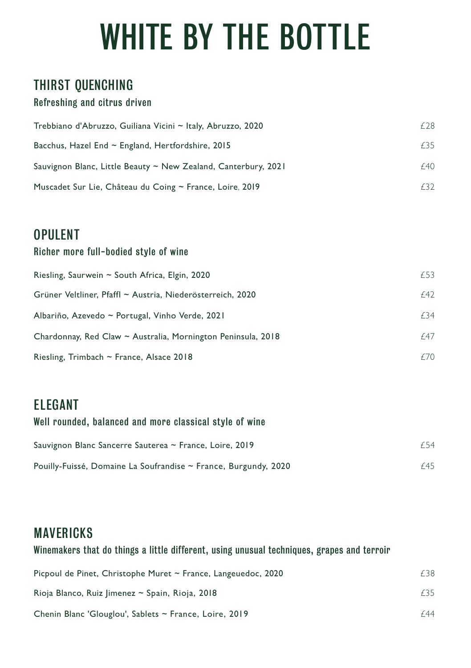## WHITE BY THE BOTTLE

### THIRST QUENCHING

#### Refreshing and citrus driven

| Trebbiano d'Abruzzo, Guiliana Vicini ~ Italy, Abruzzo, 2020         | f 28 |
|---------------------------------------------------------------------|------|
| Bacchus, Hazel End $\sim$ England, Hertfordshire, 2015              | F35  |
| Sauvignon Blanc, Little Beauty $\sim$ New Zealand, Canterbury, 2021 | f40  |
| Muscadet Sur Lie, Château du Coing ~ France, Loire, 2019            | F32  |

### OPULENT

#### Richer more full-bodied style of wine

| Riesling, Saurwein ~ South Africa, Elgin, 2020               | f 53 |
|--------------------------------------------------------------|------|
| Grüner Veltliner, Pfaffl ~ Austria, Niederösterreich, 2020   | f42  |
| Albariño, Azevedo ~ Portugal, Vinho Verde, 2021              | £34  |
| Chardonnay, Red Claw ~ Australia, Mornington Peninsula, 2018 | £47  |
| Riesling, Trimbach $\sim$ France, Alsace 2018                | £70  |

### ELEGANT

#### Well rounded, balanced and more classical style of wine

| Sauvignon Blanc Sancerre Sauterea ~ France, Loire, 2019         | f 54 |
|-----------------------------------------------------------------|------|
| Pouilly-Fuissé, Domaine La Soufrandise ~ France, Burgundy, 2020 | £45  |

## MAVERICKS

#### Winemakers that do things a little different, using unusual techniques, grapes and terroir

| Picpoul de Pinet, Christophe Muret $\sim$ France, Langeuedoc, 2020 | F38. |
|--------------------------------------------------------------------|------|
| Rioja Blanco, Ruiz Jimenez ~ Spain, Rioja, 2018                    | £35  |
| Chenin Blanc 'Glouglou', Sablets ~ France, Loire, 2019             | f 44 |